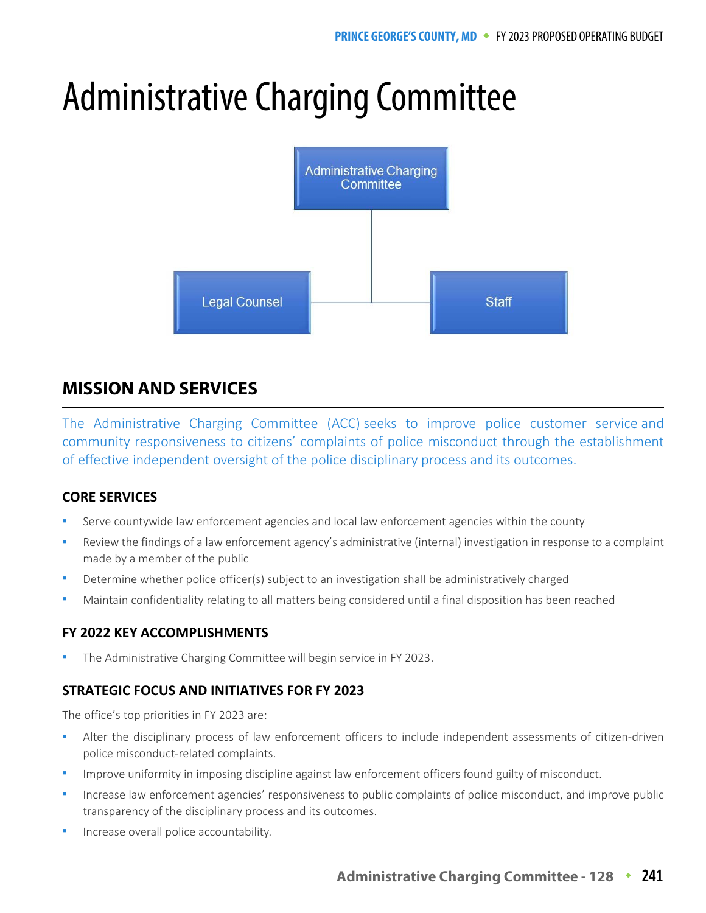# Administrative Charging Committee



# **MISSION AND SERVICES**

The Administrative Charging Committee (ACC) seeks to improve police customer service and community responsiveness to citizens' complaints of police misconduct through the establishment of effective independent oversight of the police disciplinary process and its outcomes.

## **CORE SERVICES**

- Serve countywide law enforcement agencies and local law enforcement agencies within the county
- Review the findings of a law enforcement agency's administrative (internal) investigation in response to a complaint made by a member of the public
- Determine whether police officer(s) subject to an investigation shall be administratively charged
- Maintain confidentiality relating to all matters being considered until a final disposition has been reached

## **FY 2022 KEY ACCOMPLISHMENTS**

The Administrative Charging Committee will begin service in FY 2023.

## **STRATEGIC FOCUS AND INITIATIVES FOR FY 2023**

The office's top priorities in FY 2023 are:

- Alter the disciplinary process of law enforcement officers to include independent assessments of citizen-driven police misconduct-related complaints.
- Improve uniformity in imposing discipline against law enforcement officers found guilty of misconduct.
- Increase law enforcement agencies' responsiveness to public complaints of police misconduct, and improve public transparency of the disciplinary process and its outcomes.
- Increase overall police accountability.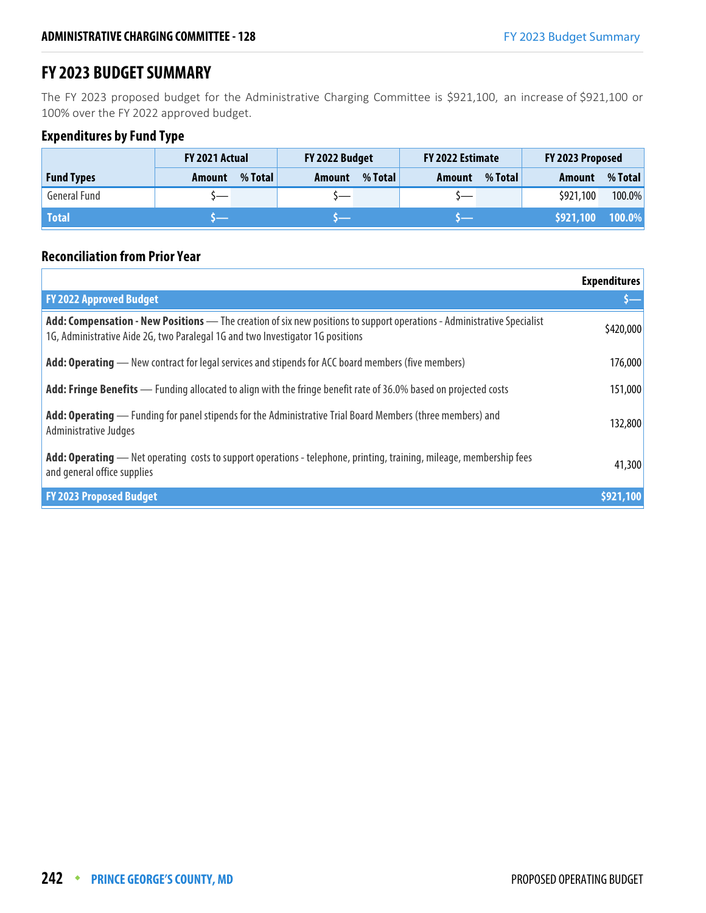## **FY 2023 BUDGET SUMMARY**

The FY 2023 proposed budget for the Administrative Charging Committee is \$921,100, an increase of \$921,100 or 100% over the FY 2022 approved budget.

## **Expenditures by Fund Type**

|                     | <b>FY 2021 Actual</b> |         | FY 2022 Budget |         | FY 2022 Estimate |         | FY 2023 Proposed |         |
|---------------------|-----------------------|---------|----------------|---------|------------------|---------|------------------|---------|
| <b>Fund Types</b>   | Amount                | % Total | Amount         | % Total | Amount           | % Total | <b>Amount</b>    | % Total |
| <b>General Fund</b> |                       |         |                |         |                  |         | \$921,100        | 100.0%  |
| <b>Total</b>        |                       |         |                |         |                  |         | \$921,100        | 100.0%  |

## **Reconciliation from Prior Year**

|                                                                                                                                                                                                           | <b>Expenditures</b> |
|-----------------------------------------------------------------------------------------------------------------------------------------------------------------------------------------------------------|---------------------|
| <b>FY 2022 Approved Budget</b>                                                                                                                                                                            |                     |
| Add: Compensation - New Positions - The creation of six new positions to support operations - Administrative Specialist<br>1G, Administrative Aide 2G, two Paralegal 1G and two Investigator 1G positions | \$420,000           |
| Add: Operating — New contract for legal services and stipends for ACC board members (five members)                                                                                                        | 176,000             |
| Add: Fringe Benefits — Funding allocated to align with the fringe benefit rate of 36.0% based on projected costs                                                                                          | 151,000             |
| Add: Operating — Funding for panel stipends for the Administrative Trial Board Members (three members) and<br>Administrative Judges                                                                       | 132,800             |
| Add: Operating — Net operating costs to support operations - telephone, printing, training, mileage, membership fees<br>and general office supplies                                                       | 41,300              |
| <b>FY 2023 Proposed Budget</b>                                                                                                                                                                            | \$921,100           |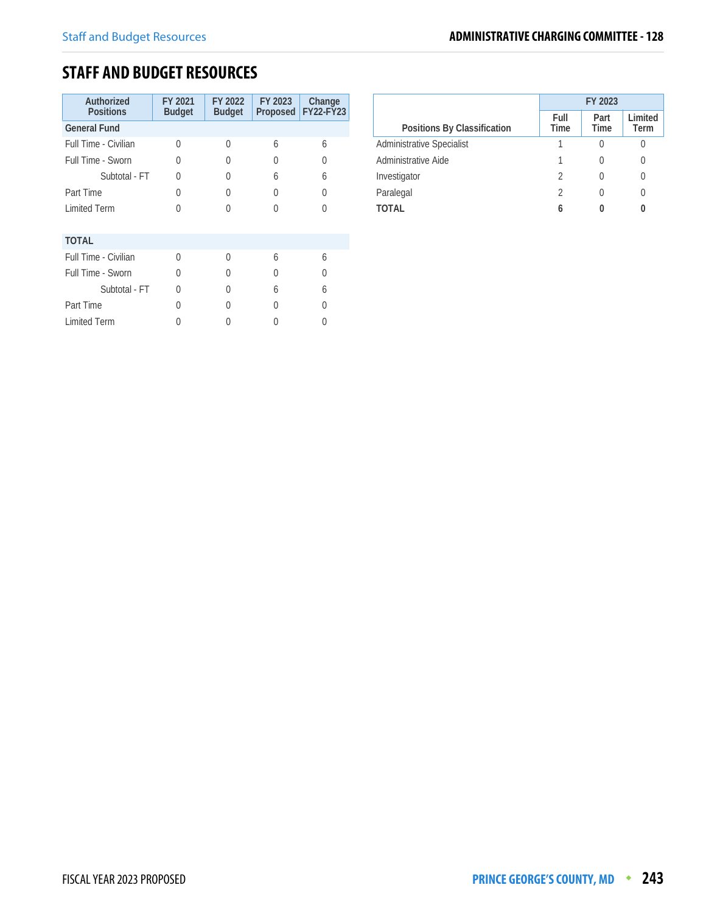## **STAFF AND BUDGET RESOURCES**

| Authorized<br><b>Positions</b> | FY 2021<br><b>Budget</b> | FY 2022<br><b>Budget</b> | FY 2023<br><b>Proposed</b> | Change<br><b>FY22-FY23</b> |
|--------------------------------|--------------------------|--------------------------|----------------------------|----------------------------|
| <b>General Fund</b>            |                          |                          |                            |                            |
| Full Time - Civilian           | O                        | U                        | 6                          | 6                          |
| Full Time - Sworn              | O                        | 0                        | 0                          | U                          |
| Subtotal - FT                  | U                        | 0                        | 6                          | 6                          |
| Part Time                      | $\Omega$                 | 0                        | 0                          | Λ                          |
| <b>Limited Term</b>            | U                        |                          | 0                          | $\left( \right)$           |
| <b>TOTAL</b>                   |                          |                          |                            |                            |
| Full Time - Civilian           | $\cap$                   | U                        | 6                          | 6                          |
| Full Time - Sworn              | U                        | 0                        | U                          | N                          |
| Subtotal - FT                  | U                        |                          | 6                          | 6                          |
| Part Time                      | $\Omega$                 |                          | U                          |                            |
| <b>Limited Term</b>            |                          |                          |                            |                            |

|                                  | FY 2023        |                     |                  |  |
|----------------------------------|----------------|---------------------|------------------|--|
| Positions By Classification      | Full<br>Time   | Part<br><b>Time</b> | Limited<br>Term  |  |
| <b>Administrative Specialist</b> |                |                     |                  |  |
| Administrative Aide              |                |                     | $\left( \right)$ |  |
| Investigator                     | $\mathfrak{D}$ |                     | $\left( \right)$ |  |
| Paralegal                        | $\mathfrak{D}$ |                     | $\left( \right)$ |  |
| TOTAL                            | 6              |                     |                  |  |